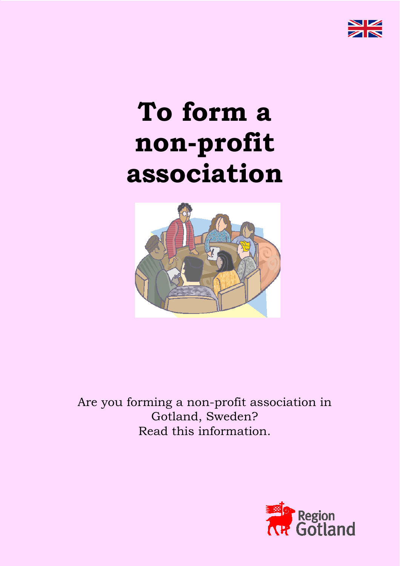

# **To form a non-profit association**



Are you forming a non-profit association in Gotland, Sweden? Read this information.

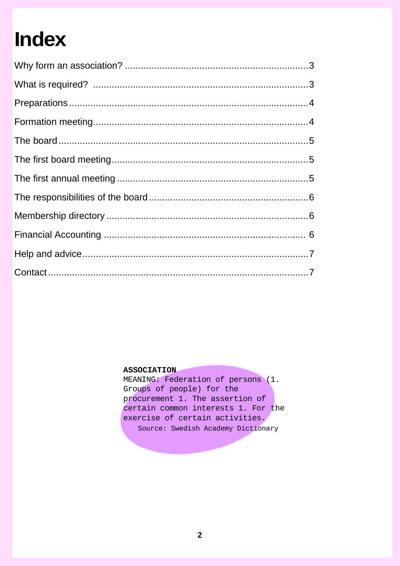## **Index**

#### **ASSOCIATION**

MEANING: Federation of persons (1. Groups of people) for the procurement 1. The assertion of certain common interests 1. For the exercise of certain activities. Source: Swedish Academy Dictionary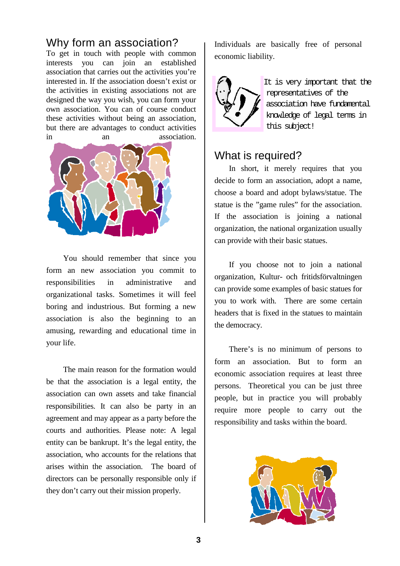## Why form an association?

To get in touch with people with common interests you can join an established association that carries out the activities you're interested in. If the association doesn't exist or the activities in existing associations not are designed the way you wish, you can form your own association. You can of course conduct these activities without being an association, but there are advantages to conduct activities in an association.



You should remember that since you form an new association you commit to responsibilities in administrative and organizational tasks. Sometimes it will feel boring and industrious. But forming a new association is also the beginning to an amusing, rewarding and educational time in your life.

The main reason for the formation would be that the association is a legal entity, the association can own assets and take financial responsibilities. It can also be party in an agreement and may appear as a party before the courts and authorities. Please note: A legal entity can be bankrupt. It's the legal entity, the association, who accounts for the relations that arises within the association. The board of directors can be personally responsible only if they don't carry out their mission properly.

Individuals are basically free of personal economic liability.



It is very important that the representatives of the association have fundamental knowledge of legal terms in this subject!

## What is required?

In short, it merely requires that you decide to form an association, adopt a name, choose a board and adopt bylaws/statue. The statue is the "game rules" for the association. If the association is joining a national organization, the national organization usually can provide with their basic statues.

If you choose not to join a national organization, Kultur- och fritidsförvaltningen can provide some examples of basic statues for you to work with. There are some certain headers that is fixed in the statues to maintain the democracy.

There's is no minimum of persons to form an association. But to form an economic association requires at least three persons. Theoretical you can be just three people, but in practice you will probably require more people to carry out the responsibility and tasks within the board.

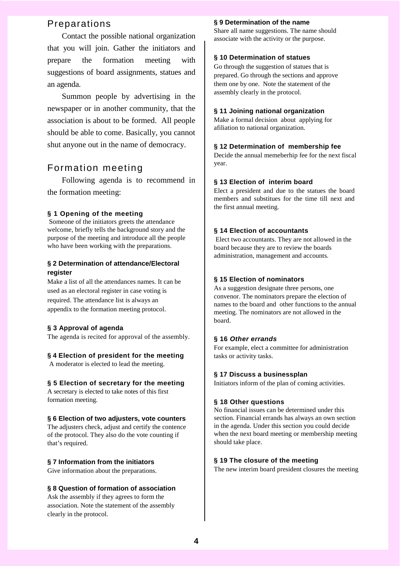## Preparations

Contact the possible national organization that you will join. Gather the initiators and prepare the formation meeting with suggestions of board assignments, statues and an agenda.

Summon people by advertising in the newspaper or in another community, that the association is about to be formed. All people should be able to come. Basically, you cannot shut anyone out in the name of democracy.

## Formation meeting

Following agenda is to recommend in the formation meeting:

#### **§ 1 Opening of the meeting**

Someone of the initiators greets the attendance welcome, briefly tells the background story and the purpose of the meeting and introduce all the people who have been working with the preparations.

#### **§ 2 Determination of attendance/Electoral register**

Make a list of all the attendances names. It can be used as an electoral register in case voting is required. The attendance list is always an appendix to the formation meeting protocol.

#### **§ 3 Approval of agenda**

The agenda is recited for approval of the assembly.

#### **§ 4 Election of president for the meeting**

A moderator is elected to lead the meeting.

#### **§ 5 Election of secretary for the meeting**

A secretary is elected to take notes of this first formation meeting.

#### **§ 6 Election of two adjusters, vote counters**

The adjusters check, adjust and certify the contence of the protocol. They also do the vote counting if that's required.

#### **§ 7 Information from the initiators**

Give information about the preparations.

#### **§ 8 Question of formation of association**

Ask the assembly if they agrees to form the association. Note the statement of the assembly clearly in the protocol.

#### **§ 9 Determination of the name**

Share all name suggestions. The name should associate with the activity or the purpose.

#### **§ 10 Determination of statues**

Go through the suggestion of statues that is prepared. Go through the sections and approve them one by one. Note the statement of the assembly clearly in the protocol.

#### **§ 11 Joining national organization**

Make a formal decision about applying for afiliation to national organization.

#### **§ 12 Determination of membership fee**

Decide the annual memeberhip fee for the next fiscal year.

#### **§ 13 Election of interim board**

Elect a president and due to the statues the board members and substitues for the time till next and the first annual meeting.

#### **§ 14 Election of accountants**

Elect two accountants. They are not allowed in the board because they are to review the boards administration, management and accounts.

#### **§ 15 Election of nominators**

As a suggestion designate three persons, one convenor. The nominators prepare the election of names to the board and other functions to the annual meeting. The nominators are not allowed in the board.

#### **§ 16** *Other errands*

For example, elect a committee for administration tasks or activity tasks.

#### **§ 17 Discuss a businessplan**

Initiators inform of the plan of coming activities.

#### **§ 18 Other questions**

No financial issues can be determined under this section. Financial errands has always an own section in the agenda. Under this section you could decide when the next board meeting or membership meeting should take place.

#### **§ 19 The closure of the meeting**

The new interim board president closures the meeting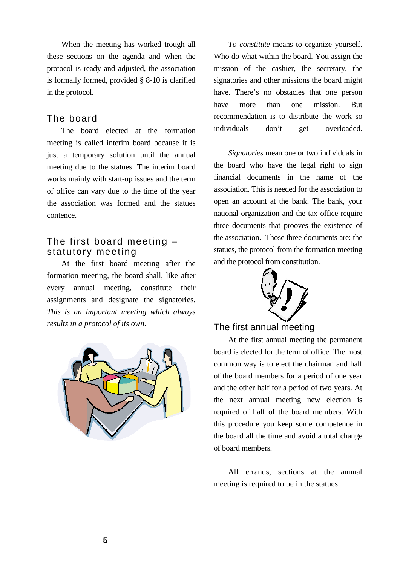When the meeting has worked trough all these sections on the agenda and when the protocol is ready and adjusted, the association is formally formed, provided § 8-10 is clarified in the protocol.

## The board

The board elected at the formation meeting is called interim board because it is just a temporary solution until the annual meeting due to the statues. The interim board works mainly with start-up issues and the term of office can vary due to the time of the year the association was formed and the statues contence.

## The first board meeting – statutory meeting

At the first board meeting after the formation meeting, the board shall, like after every annual meeting, constitute their assignments and designate the signatories. *This is an important meeting which always results in a protocol of its own.* 



*To constitute* means to organize yourself. Who do what within the board. You assign the mission of the cashier, the secretary, the signatories and other missions the board might have. There's no obstacles that one person have more than one mission. But recommendation is to distribute the work so individuals don't get overloaded.

*Signatories* mean one or two individuals in the board who have the legal right to sign financial documents in the name of the association. This is needed for the association to open an account at the bank. The bank, your national organization and the tax office require three documents that prooves the existence of the association. Those three documents are: the statues, the protocol from the formation meeting and the protocol from constitution.



## The first annual meeting

At the first annual meeting the permanent board is elected for the term of office. The most common way is to elect the chairman and half of the board members for a period of one year and the other half for a period of two years. At the next annual meeting new election is required of half of the board members. With this procedure you keep some competence in the board all the time and avoid a total change of board members.

All errands, sections at the annual meeting is required to be in the statues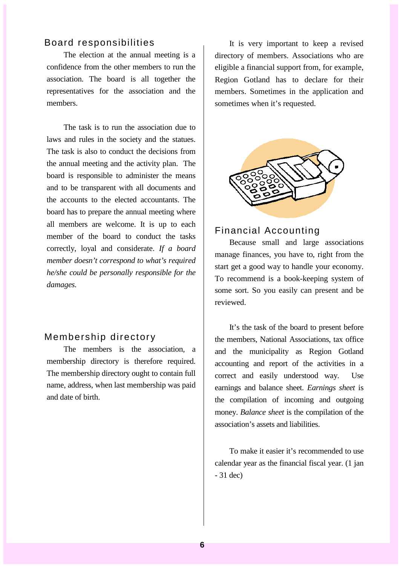### Board responsibilities

The election at the annual meeting is a confidence from the other members to run the association. The board is all together the representatives for the association and the members.

The task is to run the association due to laws and rules in the society and the statues. The task is also to conduct the decisions from the annual meeting and the activity plan. The board is responsible to administer the means and to be transparent with all documents and the accounts to the elected accountants. The board has to prepare the annual meeting where all members are welcome. It is up to each member of the board to conduct the tasks correctly, loyal and considerate. *If a board member doesn't correspond to what's required he/she could be personally responsible for the damages.*

## Membership directory

The members is the association, a membership directory is therefore required. The membership directory ought to contain full name, address, when last membership was paid and date of birth.

It is very important to keep a revised directory of members. Associations who are eligible a financial support from, for example, Region Gotland has to declare for their members. Sometimes in the application and sometimes when it's requested.



## Financial Accounting

Because small and large associations manage finances, you have to, right from the start get a good way to handle your economy. To recommend is a book-keeping system of some sort. So you easily can present and be reviewed.

It's the task of the board to present before the members, National Associations, tax office and the municipality as Region Gotland accounting and report of the activities in a correct and easily understood way. Use earnings and balance sheet. *Earnings sheet* is the compilation of incoming and outgoing money. *Balance sheet* is the compilation of the association's assets and liabilities.

To make it easier it's recommended to use calendar year as the financial fiscal year. (1 jan - 31 dec)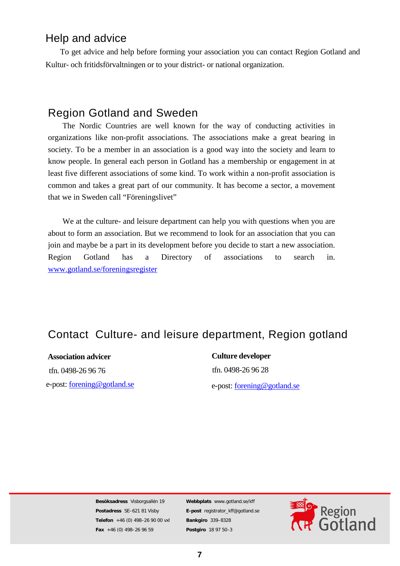## Help and advice

To get advice and help before forming your association you can contact Region Gotland and Kultur- och fritidsförvaltningen or to your district- or national organization.

## Region Gotland and Sweden

The Nordic Countries are well known for the way of conducting activities in organizations like non-profit associations. The associations make a great bearing in society. To be a member in an association is a good way into the society and learn to know people. In general each person in Gotland has a membership or engagement in at least five different associations of some kind. To work within a non-profit association is common and takes a great part of our community. It has become a sector, a movement that we in Sweden call "Föreningslivet"

We at the culture- and leisure department can help you with questions when you are about to form an association. But we recommend to look for an association that you can join and maybe be a part in its development before you decide to start a new association. Region Gotland has a Directory of associations to search in. [www.gotland.se/foreningsregister](http://www.gotland.se/foreningsregister)

## Contact Culture- and leisure department, Region gotland

**Association advicer** tfn. 0498-26 96 76 e-post: forening@gotland.se

**Culture developer** tfn. 0498-26 96 28 e-post: [forening@gotland.se](mailto:forening@gotland.se)

**Besöksadress** Visborgsallén 19 **Postadress** SE–621 81 Visby **Telefon** +46 (0) 498–26 90 00 vxl **Fax** +46 (0) 498–26 96 59

**Webbplats** www.gotland.se/kff **E-post** registrator\_kff@gotland.se **Bankgiro** 339–8328 **Postgiro** 18 97 50–3